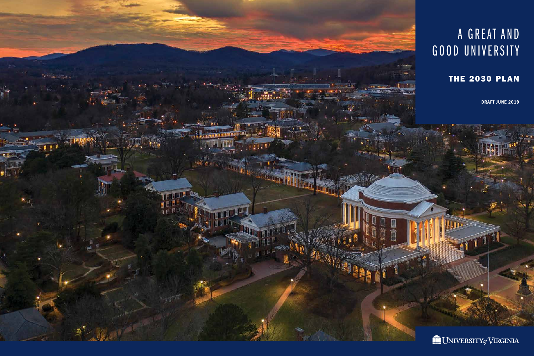

### A GREAT AND GOOD UNIVERSITY

### THE 2030 PLAN

DRAFT JUNE 2019

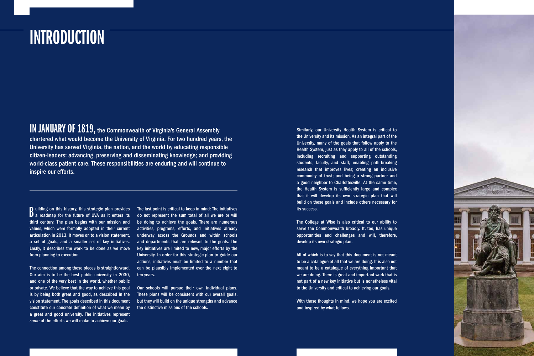## **INTRODUCTION**

IN JANUARY OF 1819, the Commonwealth of Virginia's General Assembly chartered what would become the University of Virginia. For two hundred years, the University has served Virginia, the nation, and the world by educating responsible citizen-leaders; advancing, preserving and disseminating knowledge; and providing world-class patient care. These responsibilities are enduring and will continue to inspire our efforts.

Building on this history, this strategic plan provides<br>B a roadmap for the future of UVA as it enters its uilding on this history, this strategic plan provides third century. The plan begins with our mission and articulation in 2013. It moves on to a vision statement, a set of goals, and a smaller set of key initiatives. Lastly, it describes the work to be done as we move from planning to execution.

The connection among these pieces is straightforward. Our aim is to be the best public university in 2030, and one of the very best in the world, whether public or private. We believe that the way to achieve this goal is by being both great and good, as described in the vision statement. The goals described in this document constitute our concrete definition of what we mean by a great and good university. The initiatives represent *some* of the efforts we will make to achieve our goals.

values, which were formally adopted in their current activities, programs, efforts, and initiatives already The last point is critical to keep in mind: The initiatives do not represent the sum total of all we are or will be doing to achieve the goals. There are numerous underway across the Grounds and within schools and departments that are relevant to the goals. The key initiatives are limited to new, major efforts by the University. In order for this strategic plan to guide our actions, initiatives must be limited to a number that can be plausibly implemented over the next eight to ten years.

> Our schools will pursue their own individual plans. These plans will be consistent with our overall goals, but they will build on the unique strengths and advance the distinctive missions of the schools.

Similarly, our University Health System is critical to the University and its mission. As an integral part of the University, many of the goals that follow apply to the Health System, just as they apply to all of the schools, including recruiting and supporting outstanding students, faculty, and staff; enabling path-breaking research that improves lives; creating an inclusive community of trust; and being a strong partner and a good neighbor to Charlottesville. At the same time, the Health System is sufficiently large and complex that it will develop its own strategic plan that will build on these goals and include others necessary for its success.

The College at Wise is also critical to our ability to serve the Commonwealth broadly. It, too, has unique opportunities and challenges and will, therefore, develop its own strategic plan.

All of which is to say that this document is not meant to be a catalogue of all that we are doing. It is also not meant to be a catalogue of everything important that we are doing. There is great and important work that is not part of a new key initiative but is nonetheless vital to the University and critical to achieving our goals.

With those thoughts in mind, we hope you are excited and inspired by what follows.

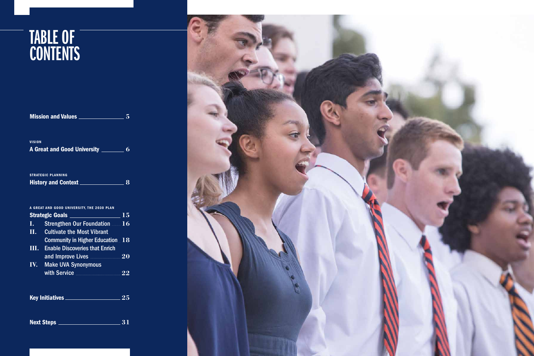### TABLE OF CONTENTS

|                                            | <b>Mission and Values _</b>                                                           | 5                   |
|--------------------------------------------|---------------------------------------------------------------------------------------|---------------------|
| <b>VISION</b>                              | A Great and Good University <u>Network 6</u>                                          |                     |
|                                            | <b>STRATEGIC PLANNING</b>                                                             | - 8                 |
| A GREAT AND GOOD UNIVERSITY, THE 2030 PLAN |                                                                                       |                     |
| $\mathbf{I}$ .<br>$\bar{\mathbf{H}}$ .     | <b>Strengthen Our Foundation 16</b><br><b>Cultivate the Most Vibrant</b>              |                     |
|                                            | <b>Community in Higher Education 18</b><br><b>III.</b> Enable Discoveries that Enrich |                     |
| IV.                                        | and Improve Lives<br><b>Make UVA Synonymous</b>                                       | $\overline{\bf 20}$ |
|                                            | with Service <b>With Service</b>                                                      | 22                  |
| Key Initiatives                            |                                                                                       | 25                  |

**Next Steps** 21

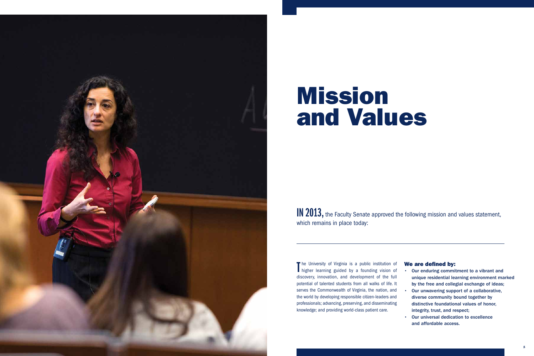

## Mission and Values

IN 2013, the Faculty Senate approved the following mission and values statement, which remains in place today:

 serves the Commonwealth of Virginia, the nation, and The University of Virginia is a public institution of<br>higher learning guided by a founding vision of higher learning guided by a founding vision of discovery, innovation, and development of the full potential of talented students from all walks of life. It the world by developing responsible citizen-leaders and professionals; advancing, preserving, and disseminating knowledge; and providing world-class patient care.

### We are defined by:

- Our enduring commitment to a vibrant and unique residential learning environment marked by the free and collegial exchange of ideas;
- Our unwavering support of a collaborative, diverse community bound together by distinctive foundational values of honor, integrity, trust, and respect;
- Our universal dedication to excellence and affordable access.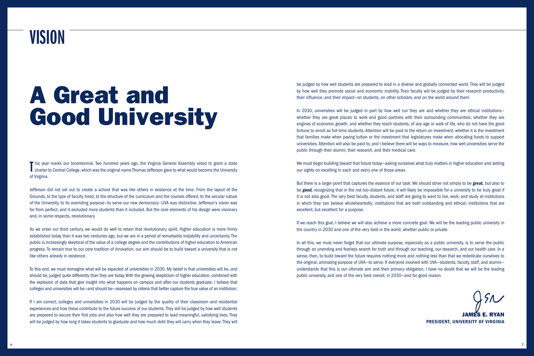# A Great and Good University

### VISION

This year marks our bicentennial. Two hundred years ago, the Virginia General Assembly voted to grant a state<br>Charter to Central College, which was the original name Thomas Jefferson gave to what would become the Universit **T** his year marks our bicentennial. Two hundred years ago, the Virginia General Assembly voted to grant a state of Virginia.

Jefferson did not set out to create a school that was like others in existence at the time. From the layout of the Grounds, to the type of faculty hired, to the structure of the curriculum and the courses offered, to the secular nature of the University, to its overriding purpose—to serve our new democracy—UVA was distinctive. Jefferson's vision was far from perfect, and it excluded more students than it included. But the core elements of his design were visionary and, in some respects, revolutionary.

 To this end, we must reimagine what will be expected of universities in 2030. My belief is that universities will be, and should be, judged quite differently than they are today.With the growing skepticism of higher education, combined with the explosion of data that give insight into what happens on campus and after our students graduate, I believe that colleges and universities will be—and should be—assessed by criteria that better capture the true value of an institution.

As we enter our third century, we would do well to retain that revolutionary spirit. Higher education is more frmly established today than it was two centuries ago, but we are in a period of remarkable instability and uncertainty. The public is increasingly skeptical of the value of a college degree and the contributions of higher education to American progress. To remain true to our core tradition of innovation, our aim should be to build toward a university that is not like others already in existence.

In 2030, universities will be judged in part by how well run they are and whether they are ethical institutions whether they are great places to work and good partners with their surrounding communities; whether they are engines of economic growth; and whether they reach students, of any age or walk of life, who do not have the good fortune to enroll as full-time students. Attention will be paid to the return on investment, whether it is the investment that families make when paying tuition or the investment that legislatures make when allocating funds to support universities.Attention will also be paid to, and I believe there will be ways to measure, how well universities serve the public through their alumni, their research, and their medical care.

If I am correct, colleges and universities in 2030 will be judged by the quality of their classroom and residential experiences and how these contribute to the future success of our students.They will be judged by how well students are prepared to secure their first jobs and also how well they are prepared to lead meaningful, satisfying lives. They will be judged by how long it takes students to graduate and how much debt they will carry when they leave.They will be judged by how well students are prepared to lead in a diverse and globally connected world. They will be judged by how well they promote social and economic mobility. Their faculty will be judged by their research productivity, their infuence, and their impact—on students, on other scholars, and on the world around them.

In all this, we must never forget that our ultimate purpose, especially as a public university, is to serve the public through an unending and fearless search for truth and through our teaching, our research, and our health care. In a sense, then, to build toward the future requires nothing more and nothing less than that we rededicate ourselves to the original, animating purpose of UVA—to serve. If everyone involved with UVA—students, faculty, staff, and alumni understands that this is our ultimate aim and their primary obligation, I have no doubt that we will be the leading public university, and one of the very best overall, in 2030—and for good reason.

We must begin building toward that future today—asking ourselves what truly matters in higher education and setting our sights on excelling in each and every one of those areas.

But there is a larger point that captures the essence of our task: We should strive not simply to be *great,* but also to be *good,* recognizing that in the not-too-distant future, it will likely be impossible for a university to be truly great if it is not also good. The very best faculty, students, and staff are going to want to live, work, and study at institutions in which they can believe wholeheartedly; institutions that are both outstanding and ethical; institutions that are excellent, but excellent for a purpose.

If we reach this goal, I believe we will also achieve a more concrete goal: We will be the leading public university in the country in 2030 and one of the very best in the world, whether public or private.

> JAMES E. RYAN PRESIDENT, UNIVERSITY OF VIRGINIA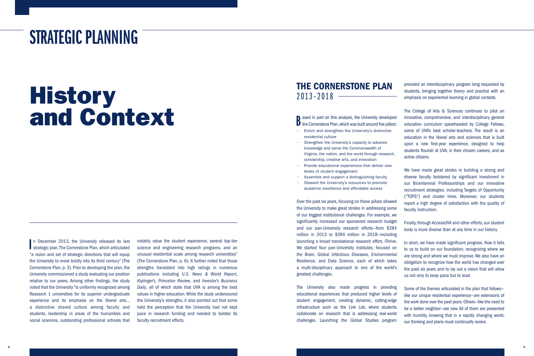### STRATEGIC PLANNING

# History and Context

I n December 2013, the University released its last strategic plan, The Cornerstone Plan, which articulated "a vision and set of strategic directions that will equip the University to move boldly into its third century" (The Cornerstone Plan, p. 3). Prior to developing the plan, the University commissioned a study evaluating our position relative to our peers. Among other fndings, the study noted that the University "is uniformly recognized among Research 1 universities for its superior undergraduate experience and its emphasis on the liberal arts… a distinctive shared culture among faculty and students, leadership in areas of the humanities and social sciences, outstanding professional schools that 1 ased in part on this analysis, the University developed<br>
1 the Cornerstone Plan, which was built around five pillars: sased in part on this analysis, the University developed • Enrich and strengthen the University's distinctive

notably value the student experience, several top-tier science and engineering research programs, and an unusual residential scale among research universities" (The Cornerstone Plan, p. 6). It further noted that those strengths translated into high ratings in numerous publications including *U.S. News & World Report, Kiplinger's, Princeton Review,* and *Investor's Business Daily,* all of which state that UVA is among the best values in higher education. While the study underscored the University's strengths, it also pointed out that some held the perception that the University had not kept pace in research funding and needed to bolster its faculty recruitment efforts.

### THE CORNERSTONE PLAN 2013–2018

- residential culture
- Strengthen the University's capacity to advance knowledge and serve the Commonwealth of Virginia, the nation, and the world through research, scholarship, creative arts, and innovation
- Provide educational experiences that deliver new levels of student engagement
- Assemble and support a distinguishing faculty
- Steward the University's resources to promote academic excellence and affordable access

In short, we have made significant progress. Now it falls to us to build on our foundation, recognizing where we are strong and where we must [improve. We](https://improve.We) also have an obligation to recognize how the world has changed over the past six years and to lay out a vision that will allow us not only to keep pace but to lead.

Over the past six years, focusing on these pillars allowed the University to make great strides in addressing some of our biggest institutional challenges. For example, we significantly increased our sponsored research budget and our pan-University research efforts—from \$284 million in 2013 to \$394 million in 2018—including launching a broad translational research effort, iThrive. We started four pan-University institutes, focused on the Brain, Global Infectious Diseases, Environmental Resilience, and Data Science, each of which takes a multi-disciplinary approach to one of the world's greatest challenges.

The University also made progress in providing educational experiences that produced higher levels of student engagement, creating dynamic, cutting-edge infrastructure such as the Link Lab, where students collaborate on research that is addressing real-world challenges. Launching the Global Studies program

 $\begin{array}{ccc} 8 & 9 \end{array}$ 

provided an interdisciplinary program long requested by students, bringing together theory and practice with an emphasis on experiential learning in global contexts.

The College of Arts & Sciences continues to pilot an innovative, comprehensive, and interdisciplinary general education curriculum spearheaded by College Fellows, some of UVA's best scholar-teachers. The result is an education in the liberal arts and sciences that is built upon a new first-year experience, designed to help students flourish at UVA, in their chosen careers, and as active citizens.

We have made great strides in building a strong and diverse faculty bolstered by significant investment in our Bicentennial Professorships and our innovative recruitment strategies, including Targets of Opportunity ("TOPS") and cluster hires. Moreover, our students report a high degree of satisfaction with the quality of faculty instruction.

Finally, through AccessUVA and other efforts, our student body is more diverse than at any time in our history.

Some of the themes articulated in the plan that follows like our unique residential experience—are extensions of the work done over the past years. Others—like the need to be a better neighbor—are new. All of them are presented with humility, knowing that in a rapidly changing world, our thinking and plans must continually evolve.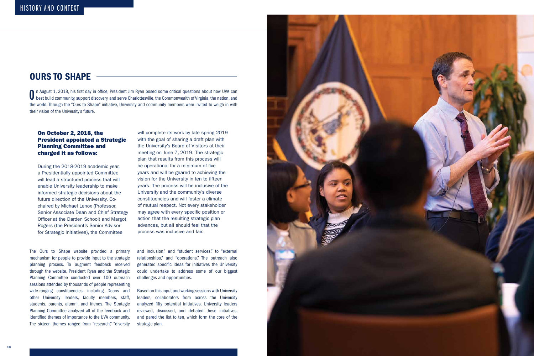### OURS TO SHAPE

On August 1, 2018, his first day in office, President Jim Ryan posed some critical questions about how UVA can best build community, support discovery, and serve Charlottesville, the Commonwealth of Virginia, the nation, a the world. Through the "Ours to Shape" initiative, University and community members were invited to weigh in with their vision of the University's future.

### On October 2, 2018, the President appointed a Strategic Planning Committee and charged it as follows:

The Ours to Shape website provided a primary mechanism for people to provide input to the strategic planning process. To augment feedback received through the website, President Ryan and the Strategic Planning Committee conducted over 100 outreach sessions attended by thousands of people representing wide-ranging constituencies, including Deans and other University leaders, faculty members, staff, students, parents, alumni, and friends. The Strategic Planning Committee analyzed all of the feedback and identifed themes of importance to the UVA community. The sixteen themes ranged from "research," "diversity

During the 2018-2019 academic year, a Presidentially appointed Committee will lead a structured process that will enable University leadership to make informed strategic decisions about the future direction of the University. Cochaired by Michael Lenox (Professor, Senior Associate Dean and Chief Strategy Officer at the Darden School) and Margot Rogers (the President's Senior Advisor for Strategic Initiatives), the Committee

will complete its work by late spring 2019 with the goal of sharing a draft plan with the University's Board of Visitors at their meeting on June 7, 2019. The strategic plan that results from this process will be operational for a minimum of five years and will be geared to achieving the vision for the University in ten to ffteen years. The process will be inclusive of the University and the community's diverse constituencies and will foster a climate of mutual respect. Not every stakeholder may agree with every specific position or action that the resulting strategic plan advances, but all should feel that the process was inclusive and fair.

and inclusion," and "student services," to "external relationships," and "operations." The outreach also generated specific ideas for initiatives the University could undertake to address some of our biggest challenges and opportunities.

Based on this input and working sessions with University leaders, collaborators from across the University analyzed ffty potential initiatives. University leaders reviewed, discussed, and debated these initiatives, and pared the list to ten, which form the core of the strategic plan.

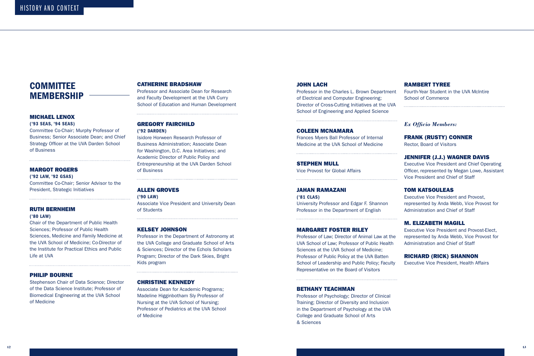### **COMMITTEE** MEMBERSHIP

('93 SEAS, '94 SEAS)

### MICHAEL LENOX

Committee Co-Chair; Murphy Professor of Business; Senior Associate Dean; and Chief Strategy Officer at the UVA Darden School of Business

 ('92 LAW, '92 GSAS) Committee Co-Chair; Senior Advisor to the President, Strategic Initiatives

### MARGOT ROGERS

### PHILIP BOURNE

### RUTH BERNHEIM

### ('80 LAW)

Chair of the Department of Public Health Sciences; Professor of Public Health Sciences, Medicine and Family Medicine at the UVA School of Medicine; Co-Director of the Institute for Practical Ethics and Public Life at UVA

Stephenson Chair of Data Science; Director of the Data Science Institute; Professor of Biomedical Engineering at the UVA School of Medicine

### CATHERINE BRADSHAW

Professor and Associate Dean for Research and Faculty Development at the UVA Curry School of Education and Human Development

### GREGORY FAIRCHILD

### ('92 DARDEN)

Isidore Horween Research Professor of Business Administration; Associate Dean for Washington, D.C. Area Initiatives; and Academic Director of Public Policy and Entrepreneurship at the UVA Darden School of Business

### ALLEN GROVES

('90 LAW)

Associate Vice President and University Dean of Students

### KELSEY JOHNSON

Professor in the Department of Astronomy at the UVA College and Graduate School of Arts & Sciences; Director of the Echols Scholars Program; Director of the Dark Skies, Bright Kids program

### CHRISTINE KENNEDY

Associate Dean for Academic Programs; Madeline Higginbotham Sly Professor of Nursing at the UVA School of Nursing; Professor of Pediatrics at the UVA School of Medicine

### JOHN LACH

### COLEEN MCNAMARA

Frances Myers Ball Professor of Internal Medicine at the UVA School of Medicine

STEPHEN MULL

Vice Provost for Global Affairs

### JAHAN RAMAZANI

('81 CLAS) University Professor and Edgar F. Shannon Professor in the Department of English

### MARGARET FOSTER RILEY

Professor in the Charles L. Brown Department of Electrical and Computer Engineering; Director of Cross-Cutting Initiatives at the UVA School of Engineering and Applied Science School of Commerce

Professor of Law; Director of Animal Law at the UVA School of Law; Professor of Public Health Sciences at the UVA School of Medicine; Professor of Public Policy at the UVA Batten School of Leadership and Public Policy; Faculty Representative on the Board of Visitors

### BETHANY TEACHMAN

Professor of Psychology; Director of Clinical Training; Director of Diversity and Inclusion in the Department of Psychology at the UVA College and Graduate School of Arts & Sciences

### RAMBERT TYREE

Fourth-Year Student in the UVA McIntire

*Ex Offcio Members:* 

FRANK (RUSTY) CONNER

Rector, Board of Visitors

### JENNIFER (J.J.) WAGNER DAVIS

Executive Vice President and Chief Operating Officer, represented by Megan Lowe, Assistant Vice President and Chief of Staff

### TOM KATSOULEAS

Executive Vice President and Provost, represented by Anda Webb, Vice Provost for Administration and Chief of Staff

### M. ELIZABETH MAGILL

Executive Vice President and Provost-Elect, represented by Anda Webb, Vice Provost for Administration and Chief of Staff

### RICHARD (RICK) SHANNON

Executive Vice President, Health Affairs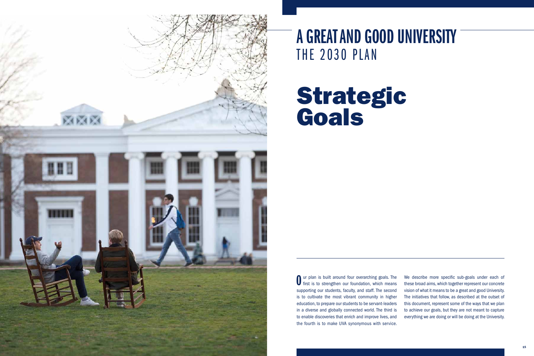# A GREAT AND GOOD UNIVERSITY





THE 2030 PLAN

# Strategic Goals

**O** ur plan is built around four overarching goals. The first is to strengthen our foundation, which means supporting our students, faculty, and staff. The second is to cultivate the most vibrant community in higher education, to prepare our students to be servant-leaders in a diverse and globally connected world. The third is to enable discoveries that enrich and improve lives, and the fourth is to make UVA synonymous with service.

We describe more specific sub-goals under each of these broad aims, which together represent our concrete vision of what it means to be a great and good University. The initiatives that follow, as described at the outset of this document, represent some of the ways that we plan to achieve our goals, but they are not meant to capture everything we are doing or will be doing at the University.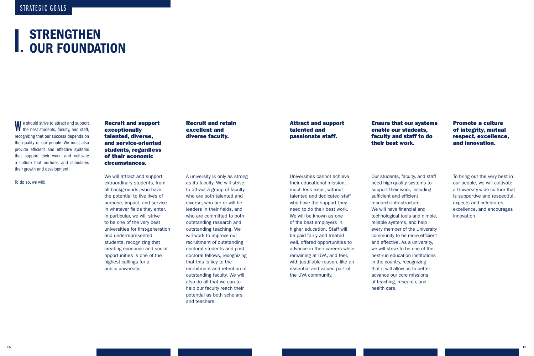### I. **STRENGTHEN** OUR FOUNDATION

Recruit and retain excellent and diverse faculty.

A university is only as strong as its faculty. We will strive to attract a group of faculty who are both talented and diverse, who are or will be leaders in their fields, and who are committed to both outstanding research and outstanding teaching. We will work to improve our recruitment of outstanding doctoral students and postdoctoral fellows, recognizing that this is key to the recruitment and retention of outstanding faculty. We will also do all that we can to help our faculty reach their potential as both scholars and teachers.

Attract and support talented and passionate staff.

Universities cannot achieve their educational mission, much less excel, without talented and dedicated staff who have the support they need to do their best work. We will be known as one of the best employers in higher education. Staff will be paid fairly and treated well, offered opportunities to advance in their careers while remaining at UVA, and feel, with justifable reason, like an essential and valued part of the UVA community.

We should strive to attract and support<br>the best students, faculty, and staff, recognizing that our success depends on the quality of our people. We must also provide efficient and effective systems that support their work, and cultivate a culture that nurtures and stimulates their growth and development.

Ensure that our systems enable our students, faculty and staff to do their best work.

health care. Our students, faculty, and staff need high-quality systems to support their work, including sufficient and efficient research infrastructure. We will have financial and technological tools and nimble, reliable systems, and help every member of the University community to be more efficient and effective. As a university, we will strive to be one of the best-run education institutions in the country, recognizing that it will allow us to better advance our core missions of teaching, research, and **Ensure that our systems**<br> **Ensure that our students,**<br> **Statulty and staff to do**<br> **Consider their work.**<br> **Consider the stature of integrity, mutual<br>
care of integrity, mutual<br>
care and <b>innovation.**<br>
Our students, facul

of integrity, mutual respect, excellence, and innovation.

To bring out the very best in our people, we will cultivate a University-wide culture that is supportive and respectful, expects and celebrates excellence, and encourages innovation.

To do so, we will:

Recruit and support exceptionally talented, diverse, and service-oriented students, regardless of their economic circumstances.

We will attract and support extraordinary students, from all backgrounds, who have the potential to live lives of purpose, impact, and service in whatever fields they enter. In particular, we will strive to be one of the very best universities for first-generation and underrepresented students, recognizing that creating economic and social opportunities is one of the highest callings for a public university.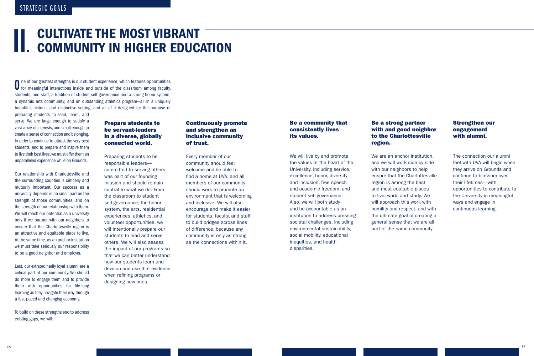# CULTIVATE THE MOST VIBRANT<br>COMMUNITY IN HIGHER EDUCATION

O ne of our greatest strengths is our student experience, which features opportunities for meaningful interactions inside and outside of the classroom among faculty, students, and staff; a tradition of student self-governance and a strong honor system; a dynamic arts community; and an outstanding athletics program—all in a uniquely beautiful, historic, and distinctive setting, and all of it designed for the purpose of

 vast array of interests, and small enough to preparing students to lead, learn, and serve. We are large enough to satisfy a create a sense of connection and belonging. In order to continue to attract the very best students, and to prepare and inspire them to live their best lives,we must offer them an unparalleled experience while on Grounds.

 to be a good neighbor and employer. Our relationship with Charlottesville and the surrounding counties is critically and mutually important. Our success as a university depends in no small part on the strength of those communities, and on the strength of our relationship with them. We will reach our potential as a university only if we partner with our neighbors to ensure that the Charlottesville region is an attractive and equitable place to live. At the same time, as an anchor institution we must take seriously our responsibility

 critical part of our community. We should Last, our extraordinarily loyal alumni are a do more to engage them and to provide them with opportunities for life-long learning as they navigate their way through a fast-paced and changing economy.

### Be a community that Be a strong partner Strengthen our consistently lives with and good neighbor engagement its values. to the Charlottesville with alumni. region.

To build on these strengths and to address existing gaps, we will:

### Prepare students to be servant-leaders in a diverse, globally connected world.

We will live by and promote We are an anchor institution, The connection our alumni the values at the heart of the and we will work side by side feel with UVA will begin when University, including service, with our neighbors to help they arrive on Grounds and excellence, honor, diversity ensure that the Charlottesville continue to blossom over and inclusion, free speech region is among the best their lifetimes—with and academic freedom, and and most equitable places opportunities to contribute to student self-governance. The live, work, and study. We the University in meaningful Also, we will both study will approach this work with ways and engage in and be accountable as an humility and respect, and with continuous learning. institution to address pressing the ultimate goal of creating a societal challenges, including general sense that we are all environmental sustainability, environmental sustainability, environmental sustainability. social mobility, educational inequities, and health disparities.

Preparing students to be responsible leaders committed to serving others was part of our founding mission and should remain central to what we do. From the classroom to student self-governance, the honor system, the arts, residential experiences, athletics, and volunteer opportunities, we will intentionally prepare our students to lead and serve others. We will also assess the impact of our programs so that we can better understand how our students learn and develop and use that evidence when refining programs or designing new ones.

### Continuously promote and strengthen an inclusive community of trust.

Every member of our community should feel welcome and be able to find a home at UVA, and all members of our community should work to promote an environment that is welcoming and inclusive. We will also encourage and make it easier for students, faculty, and staff to build bridges across lines of difference, because any community is only as strong as the connections within it.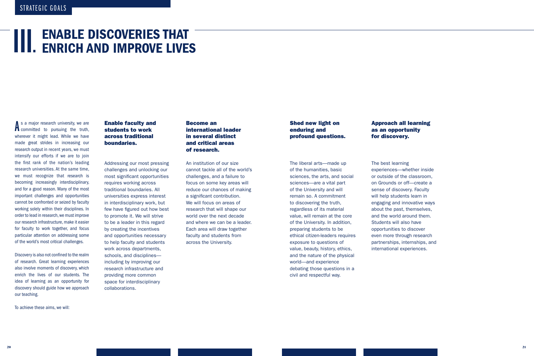# **III. ENABLE DISCOVERIES THAT<br>III. ENRICH AND IMPROVE LIVES**

 research output in recent years, we must we must recognize that research is of the world's most critical challenges. A s a major research university, we are<br>committed to pursuing the truth, s a major research university, we are wherever it might lead. While we have made great strides in increasing our intensify our efforts if we are to join the first rank of the nation's leading research universities. At the same time, becoming increasingly interdisciplinary, and for a good reason. Many of the most important challenges and opportunities cannot be confronted or seized by faculty working solely within their disciplines. In order to lead in research, we must improve our research infrastructure, make it easier for faculty to work together, and focus particular attention on addressing some

 our teaching. Discovery is also not confned to the realm of research. Great learning experiences also involve moments of discovery, which enrich the lives of our students. The idea of learning as an opportunity for discovery should guide how we approach

To achieve these aims, we will:

### Enable faculty and students to work across traditional boundaries.

Addressing our most pressing challenges and unlocking our most significant opportunities requires working across traditional boundaries. All universities express interest in interdisciplinary work, but few have fgured out how best to promote it. We will strive to be a leader in this regard by creating the incentives and opportunities necessary to help faculty and students work across departments, schools, and disciplines including by improving our research infrastructure and providing more common space for interdisciplinary collaborations.

### Become an international leader in several distinct and critical areas of research.

An institution of our size cannot tackle all of the world's challenges, and a failure to focus on some key areas will reduce our chances of making a significant contribution. We will focus on areas of research that will shape our world over the next decade and where we can be a leader. Each area will draw together faculty and students from across the University.

### Shed new light on enduring and profound questions.

The liberal arts—made up of the humanities, basic sciences, the arts, and social sciences—are a vital part of the University and will remain so. A commitment to discovering the truth, regardless of its material value, will remain at the core of the University. In addition, preparing students to be ethical citizen-leaders requires exposure to questions of value, beauty, history, ethics, and the nature of the physical world—and experience debating those questions in a civil and respectful way.

### Approach all learning as an opportunity for discovery.

The best learning experiences—whether inside or outside of the classroom, on Grounds or off—create a sense of discovery. Faculty will help students learn in engaging and innovative ways about the past, themselves, and the world around them. Students will also have opportunities to discover even more through research partnerships, internships, and international experiences.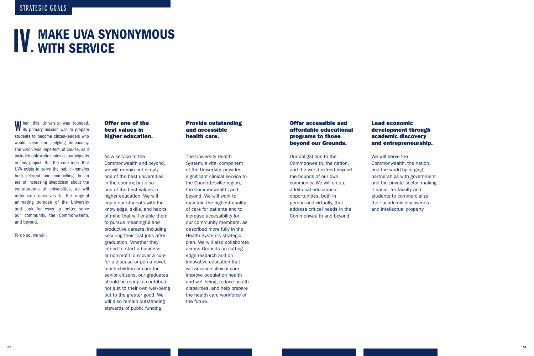# **IV. MAKE UVA SYNONYMOUS**

 and beyond. W hen this University was founded,<br>
Its primary mission was to prepare students to become citizen-leaders who would serve our fledgling democracy. The vision was imperfect, of course, as it included only white males as participants in this project. But the core idea—that UVA exists to serve the public—remains both relevant and compelling. In an era of increasing skepticism about the contributions of universities, we will rededicate ourselves to the original animating purpose of the University and look for ways to better serve our community, the Commonwealth,

To do so, we will:

### Offer one of the best values in higher education.

As a service to the Commonwealth and beyond, we will remain not simply one of the best universities in the country, but also one of the best values in higher education. We will equip our students with the knowledge, skills, and habits of mind that will enable them to pursue meaningful and productive careers, including securing their first jobs after graduation. Whether they intend to start a business or non-profit, discover a cure for a disease or pen a novel, teach children or care for senior citizens, our graduates should be ready to contribute not just to their own well-being but to the greater good. We will also remain outstanding stewards of public funding.

### Provide outstanding and accessible health care.

The University Health System, a vital component of the University, provides significant clinical service to the Charlottesville region, the Commonwealth, and beyond. We will work to maintain the highest quality of care for patients and to increase accessibility for our community members, as described more fully in the Health System's strategic plan. We will also collaborate across Grounds on cuttingedge research and on innovative education that will advance clinical care, improve population health and well-being, reduce health disparities, and help prepare the health care workforce of the future.

### Offer accessible and affordable educational programs to those beyond our Grounds.

Our obligations to the Commonwealth, the nation, and the world extend beyond the bounds of our own community. We will create additional educational opportunities, both in person and virtually, that address critical needs in the Commonwealth and beyond.

### Lead economic development through academic discovery and entrepreneurship.

We will serve the Commonwealth, the nation, and the world by forging partnerships with government and the private sector, making it easier for faculty and students to commercialize their academic discoveries and intellectual property.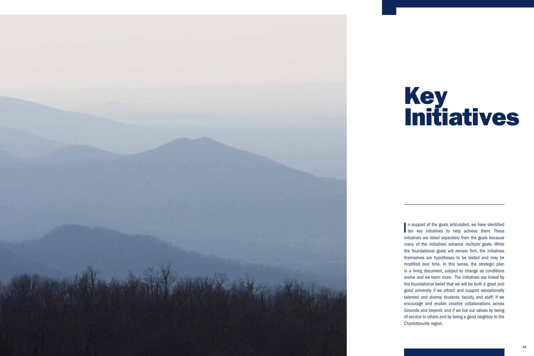

# Key Initiatives

 evolve and we learn more. The initiatives are linked by I n support of the goals articulated, we have identified I ten key initiatives to help achieve them. These initiatives are listed separately from the goals because many of the initiatives advance multiple goals. While the foundational goals will remain firm, the initiatives themselves are hypotheses to be tested and may be modifed over time. In this sense, the strategic plan is a living document, subject to change as conditions the foundational belief that we will be both a great and good university if we attract and support exceptionally talented and diverse students, faculty, and staff; if we encourage and enable creative collaborations across Grounds and beyond; and if we live our values by being of service to others and by being a good neighbor to the Charlottesville region.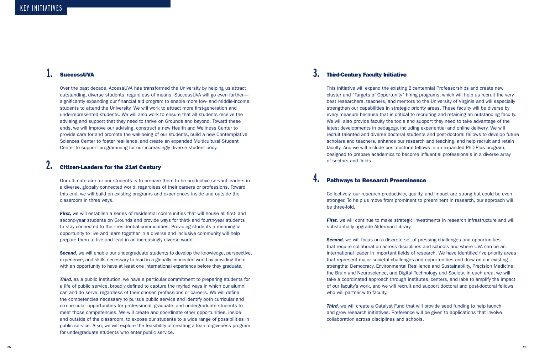This initiative will expand the existing Bicentennial Professorships and create new cluster and "Targets of Opportunity" hiring programs, which will help us recruit the very best researchers, teachers, and mentors to the University of Virginia and will especially strengthen our capabilities in strategic priority areas. These faculty will be diverse by every measure because that is critical to recruiting and retaining an outstanding faculty. We will also provide faculty the tools and support they need to take advantage of the latest developments in pedagogy, including experiential and online delivery. We will recruit talented and diverse doctoral students and post-doctoral fellows to develop future scholars and teachers, enhance our research and teaching, and help recruit and retain faculty. And we will include post-doctoral fellows in an expanded PhD-Plus program, designed to prepare academics to become infuential professionals in a diverse array of sectors and fields.

Over the past decade, AccessUVA has transformed the University by helping us attract outstanding, diverse students, regardless of means. SuccessUVA will go even further significantly expanding our financial aid program to enable more low- and middle-income students to attend the University. We will work to attract more first-generation and underrepresented students. We will also work to ensure that all students receive the advising and support that they need to thrive on Grounds and beyond. Toward these ends, we will improve our advising, construct a new Health and Wellness Center to provide care for and promote the well-being of our students, build a new Contemplative Sciences Center to foster resilience, and create an expanded Multicultural Student Center to support programming for our increasingly diverse student body.

> *First,* we will continue to make strategic investments in research infrastructure and will substantially upgrade Alderman Library.

**First,** we will establish a series of residential communities that will house all first- and second-year students on Grounds and provide ways for third- and fourth-year students to stay connected to their residential communities. Providing students a meaningful opportunity to live and learn together in a diverse and inclusive community will help prepare them to live and lead in an increasingly diverse world.

### 2. Citizen-Leaders for the 21st Century

**Second,** we will enable our undergraduate students to develop the knowledge, perspective, experience, and skills necessary to lead in a globally connected world by providing them with an opportunity to have at least one international experience before they graduate.

**Second,** we will focus on a discrete set of pressing challenges and opportunities that require collaboration across disciplines and schools and where UVA can be an international leader in important fields of research. We have identified five priority areas that represent major societal challenges and opportunities and draw on our existing strengths: Democracy, Environmental Resilience and Sustainability, Precision Medicine, the Brain and Neuroscience, and Digital Technology and Society. In each area, we will take a coordinated approach through institutes, centers, and labs to amplify the impact of our faculty's work, and we will recruit and support doctoral and post-doctoral fellows who will partner with faculty.

Our ultimate aim for our students is to prepare them to be productive servant-leaders in a diverse, globally connected world, regardless of their careers or professions. Toward this end, we will build on existing programs and experiences inside and outside the classroom in three ways. stronger. To help us move from prominent to preeminent in research, our approach will

### 4. Pathways to Research Preeminence

Collectively, our research productivity, quality, and impact are strong but could be even be three-fold.

**Third,** we will create a Catalyst Fund that will provide seed funding to help launch and grow research initiatives. Preference will be given to applications that involve collaboration across disciplines and schools.

**Third,** as a public institution, we have a particular commitment to preparing students for a life of public service, broadly defned to capture the myriad ways in which our alumni can and do serve, regardless of their chosen professions or careers. We will defne the competencies necessary to pursue public service and identify both curricular and co-curricular opportunities for professional, graduate, and undergraduate students to meet those competencies. We will create and coordinate other opportunities, inside and outside of the classroom, to expose our students to a wide range of possibilities in public service. Also, we will explore the feasibility of creating a loan-forgiveness program for undergraduate students who enter public service.

### SuccessUVA 3. Third-Century Faculty Initiative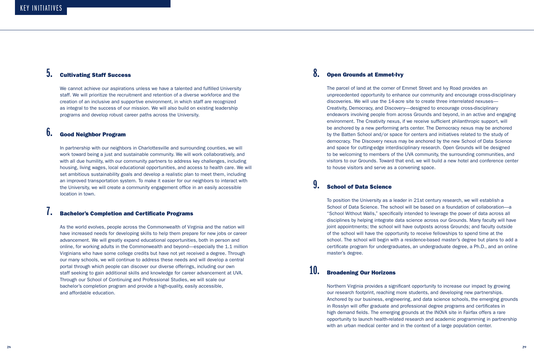We cannot achieve our aspirations unless we have a talented and fulfilled University The parcel of land at the corner of Emmet Street and Ivy Road provides an creation of an inclusive and supportive environment, in which staff are recognized discoveries. We will use the 14-acre site to create three interrelated nexuses as integral to the success of our mission. We will also build on existing leadership Creativity, Democracy, and Discovery—designed to encourage cross-disciplinary

### $6.$  Good Neighbor Program

staff. We will prioritize the recruitment and retention of a diverse workforce and the unprecedented opportunity to enhance our community and encourage cross-disciplinary programs and develop robust career paths across the University. endeavors involving people from across Grounds and beyond, in an active and engaging environment. The Creativity nexus, if we receive sufficient philanthropic support, will be anchored by a new performing arts center. The Democracy nexus may be anchored by the Batten School and/or space for centers and initiatives related to the study of democracy. The Discovery nexus may be anchored by the new School of Data Science In partnership with our neighbors in Charlottesville and surrounding counties, we will **and search** and space for cutting-edge interdisciplinary research. Open Grounds will be designed with all due humility, with our community partners to address key challenges, including visitors to our Grounds. Toward that end, we will build a new hotel and conference center

work toward being a just and sustainable community. We will work collaboratively, and to be welcoming to members of the UVA community, the surrounding communities, and housing, living wages, local educational opportunities, and access to health care. We will to house visitors and serve as a convening space. set ambitious sustainability goals and develop a realistic plan to meet them, including an improved transportation system. To make it easier for our neighbors to interact with **19. School of Data Science**<br>the University, we will create a community engagement office in an easily accessible location in town.

To position the University as a leader in 21st century research, we will establish a School of Data Science. The school will be based on a foundation of collaboration—a "School Without Walls," specifcally intended to leverage the power of data across all disciplines by helping integrate data science across our Grounds. Many faculty will have As the world evolves, people across the Commonwealth of Virginia and the nation will **interact acrops** joint appointments; the school will have outposts across Grounds; and faculty outside advancement. We will greatly expand educational opportunities, both in person and school. The school will begin with a residence-based master's degree but plans to add a online, for working adults in the Commonwealth and beyond—especially the 1.1 million certificate program for undergraduates, an undergraduate degree, a Ph.D., and an online

### **Bachelor's Completion and Certificate Programs**

bachelor's completion program and provide a high-quality, easily accessible, have increased needs for developing skills to help them prepare for new jobs or career of the school will have the opportunity to receive fellowships to spend time at the Virginians who have some college credits but have not yet received a degree. Through master master's degree. our many schools, we will continue to address these needs and will develop a central portal through which people can discover our diverse offerings, including our own portal through which people can discover our diverse offerings, including our own<br>staff seeking to gain additional skills and knowledge for career advancement at UVA. **10. Broadening Our Horizons** Through our School of Continuing and Professional Studies, we will scale our and affordable education. **Example 20** and affordable education. **Example 20 and affordable education** and developing new partnerships.

### $5.$  Cultivating Staff Success  $8.$  Open Grounds at Emmet-Ivy

Northern Virginia provides a significant opportunity to increase our impact by growing Anchored by our business, engineering, and data science schools, the emerging grounds in Rosslyn will offer graduate and professional degree programs and certifcates in high demand fields. The emerging grounds at the INOVA site in Fairfax offers a rare opportunity to launch health-related research and academic programming in partnership with an urban medical center and in the context of a large population center.